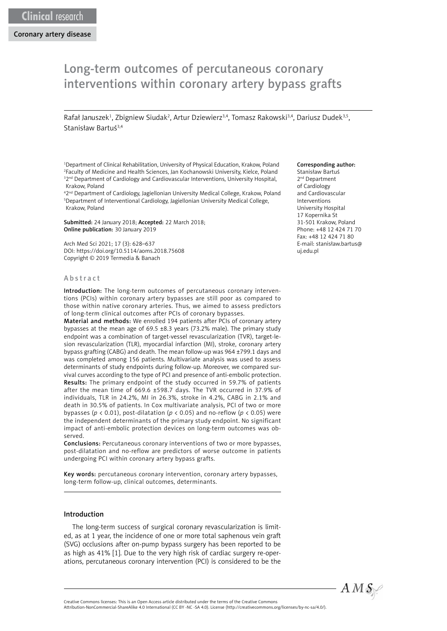# Long-term outcomes of percutaneous coronary interventions within coronary artery bypass grafts

Rafał Januszek<sup>1</sup>, Zbigniew Siudak<sup>2</sup>, Artur Dziewierz<sup>3,4</sup>, Tomasz Rakowski<sup>3,4</sup>, Dariusz Dudek<sup>3,5</sup>, Stanisław Bartuś3,4

<sup>1</sup>Department of Clinical Rehabilitation, University of Physical Education, Krakow, Poland 2 Faculty of Medicine and Health Sciences, Jan Kochanowski University, Kielce, Poland <sup>32nd</sup> Department of Cardiology and Cardiovascular Interventions, University Hospital, Krakow, Poland

 $^{42}$ <sup>nd</sup> Department of Cardiology, Jagiellonian University Medical College, Krakow, Poland 5 Department of Interventional Cardiology, Jagiellonian University Medical College, Krakow, Poland

Submitted: 24 January 2018; Accepted: 22 March 2018; Online publication: 30 January 2019

Arch Med Sci 2021; 17 (3): 628–637 DOI: https://doi.org/10.5114/aoms.2018.75608 Copyright © 2019 Termedia & Banach

#### Abstract

Introduction: The long-term outcomes of percutaneous coronary interventions (PCIs) within coronary artery bypasses are still poor as compared to those within native coronary arteries. Thus, we aimed to assess predictors of long-term clinical outcomes after PCIs of coronary bypasses.

Material and methods: We enrolled 194 patients after PCIs of coronary artery bypasses at the mean age of 69.5 ±8.3 years (73.2% male). The primary study endpoint was a combination of target-vessel revascularization (TVR), target-lesion revascularization (TLR), myocardial infarction (MI), stroke, coronary artery bypass grafting (CABG) and death. The mean follow-up was 964 ±799.1 days and was completed among 156 patients. Multivariate analysis was used to assess determinants of study endpoints during follow-up. Moreover, we compared survival curves according to the type of PCI and presence of anti-embolic protection. Results: The primary endpoint of the study occurred in 59.7% of patients after the mean time of 669.6 ±598.7 days. The TVR occurred in 37.9% of individuals, TLR in 24.2%, MI in 26.3%, stroke in 4.2%, CABG in 2.1% and death in 30.5% of patients. In Cox multivariate analysis, PCI of two or more bypasses ( $p < 0.01$ ), post-dilatation ( $p < 0.05$ ) and no-reflow ( $p < 0.05$ ) were the independent determinants of the primary study endpoint. No significant impact of anti-embolic protection devices on long-term outcomes was observed.

Conclusions: Percutaneous coronary interventions of two or more bypasses, post-dilatation and no-reflow are predictors of worse outcome in patients undergoing PCI within coronary artery bypass grafts.

Key words: percutaneous coronary intervention, coronary artery bypasses, long-term follow-up, clinical outcomes, determinants.

#### Introduction

The long-term success of surgical coronary revascularization is limited, as at 1 year, the incidence of one or more total saphenous vein graft (SVG) occlusions after on-pump bypass surgery has been reported to be as high as 41% [1]. Due to the very high risk of cardiac surgery re-operations, percutaneous coronary intervention (PCI) is considered to be the

#### Corresponding author:

Stanisław Bartuś 2<sup>nd</sup> Department of Cardiology and Cardiovascular Interventions University Hospital 17 Kopernika St 31-501 Krakow, Poland Phone: +48 12 424 71 70 Fax: +48 12 424 71 80 E-mail: stanisław.bartus@ uj.edu.pl



Attribution-NonCommercial-ShareAlike 4.0 International (CC BY -NC -SA 4.0). License (http://creativecommons.org/licenses/by-nc-sa/4.0/).

Creative Commons licenses: This is an Open Access article distributed under the terms of the Creative Commons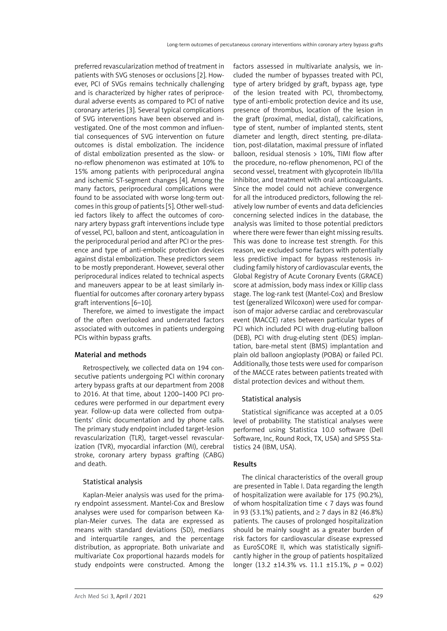preferred revascularization method of treatment in patients with SVG stenoses or occlusions [2]. However, PCI of SVGs remains technically challenging and is characterized by higher rates of periprocedural adverse events as compared to PCI of native coronary arteries [3]. Several typical complications of SVG interventions have been observed and investigated. One of the most common and influential consequences of SVG intervention on future outcomes is distal embolization. The incidence of distal embolization presented as the slow- or no-reflow phenomenon was estimated at 10% to 15% among patients with periprocedural angina and ischemic ST-segment changes [4]. Among the many factors, periprocedural complications were found to be associated with worse long-term outcomes in this group of patients [5]. Other well-studied factors likely to affect the outcomes of coronary artery bypass graft interventions include type of vessel, PCI, balloon and stent, anticoagulation in the periprocedural period and after PCI or the presence and type of anti-embolic protection devices against distal embolization. These predictors seem to be mostly preponderant. However, several other periprocedural indices related to technical aspects and maneuvers appear to be at least similarly influential for outcomes after coronary artery bypass graft interventions [6–10].

Therefore, we aimed to investigate the impact of the often overlooked and underrated factors associated with outcomes in patients undergoing PCIs within bypass grafts.

# Material and methods

Retrospectively, we collected data on 194 consecutive patients undergoing PCI within coronary artery bypass grafts at our department from 2008 to 2016. At that time, about 1200–1400 PCI procedures were performed in our department every year. Follow-up data were collected from outpatients' clinic documentation and by phone calls. The primary study endpoint included target-lesion revascularization (TLR), target-vessel revascularization (TVR), myocardial infarction (MI), cerebral stroke, coronary artery bypass grafting (CABG) and death.

# Statistical analysis

Kaplan-Meier analysis was used for the primary endpoint assessment. Mantel-Cox and Breslow analyses were used for comparison between Kaplan-Meier curves. The data are expressed as means with standard deviations (SD), medians and interquartile ranges, and the percentage distribution, as appropriate. Both univariate and multivariate Cox proportional hazards models for study endpoints were constructed. Among the factors assessed in multivariate analysis, we included the number of bypasses treated with PCI, type of artery bridged by graft, bypass age, type of the lesion treated with PCI, thrombectomy, type of anti-embolic protection device and its use, presence of thrombus, location of the lesion in the graft (proximal, medial, distal), calcifications, type of stent, number of implanted stents, stent diameter and length, direct stenting, pre-dilatation, post-dilatation, maximal pressure of inflated balloon, residual stenosis > 10%, TIMI flow after the procedure, no-reflow phenomenon, PCI of the second vessel, treatment with glycoprotein IIb/IIIa inhibitor, and treatment with oral anticoagulants. Since the model could not achieve convergence for all the introduced predictors, following the relatively low number of events and data deficiencies concerning selected indices in the database, the analysis was limited to those potential predictors where there were fewer than eight missing results. This was done to increase test strength. For this reason, we excluded some factors with potentially less predictive impact for bypass restenosis including family history of cardiovascular events, the Global Registry of Acute Coronary Events (GRACE) score at admission, body mass index or Killip class stage. The log-rank test (Mantel-Cox) and Breslow test (generalized Wilcoxon) were used for comparison of major adverse cardiac and cerebrovascular event (MACCE) rates between particular types of PCI which included PCI with drug-eluting balloon (DEB), PCI with drug-eluting stent (DES) implantation, bare-metal stent (BMS) implantation and plain old balloon angioplasty (POBA) or failed PCI. Additionally, those tests were used for comparison of the MACCE rates between patients treated with distal protection devices and without them.

# Statistical analysis

Statistical significance was accepted at a 0.05 level of probability. The statistical analyses were performed using Statistica 10.0 software (Dell Software, Inc, Round Rock, TX, USA) and SPSS Statistics 24 (IBM, USA).

# Results

The clinical characteristics of the overall group are presented in Table I. Data regarding the length of hospitalization were available for 175 (90.2%), of whom hospitalization time < 7 days was found in 93 (53.1%) patients, and ≥ 7 days in 82 (46.8%) patients. The causes of prolonged hospitalization should be mainly sought as a greater burden of risk factors for cardiovascular disease expressed as EuroSCORE II, which was statistically significantly higher in the group of patients hospitalized longer (13.2 ±14.3% vs. 11.1 ±15.1%, *p* = 0.02)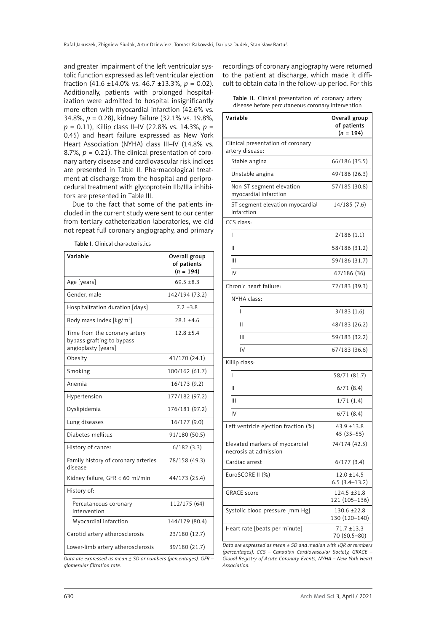and greater impairment of the left ventricular systolic function expressed as left ventricular ejection fraction (41.6 ±14.0% vs. 46.7 ±13.3%, *p* = 0.02). Additionally, patients with prolonged hospitalization were admitted to hospital insignificantly more often with myocardial infarction (42.6% vs. 34.8%, *p* = 0.28), kidney failure (32.1% vs. 19.8%, *p* = 0.11), Killip class II–IV (22.8% vs. 14.3%, *p* = 0.45) and heart failure expressed as New York Heart Association (NYHA) class III–IV (14.8% vs. 8.7%,  $p = 0.21$ ). The clinical presentation of coronary artery disease and cardiovascular risk indices are presented in Table II. Pharmacological treatment at discharge from the hospital and periprocedural treatment with glycoprotein IIb/IIIa inhibitors are presented in Table III.

Due to the fact that some of the patients included in the current study were sent to our center from tertiary catheterization laboratories, we did not repeat full coronary angiography, and primary

Table I. Clinical characteristics

| Variable                                                                          | Overall group<br>of patients<br>$(n = 194)$ |
|-----------------------------------------------------------------------------------|---------------------------------------------|
| Age [years]                                                                       | $69.5 + 8.3$                                |
| Gender, male                                                                      | 142/194 (73.2)                              |
| Hospitalization duration [days]                                                   | $7.2 + 3.8$                                 |
| Body mass index [kg/m <sup>2</sup> ]                                              | $28.1 + 4.6$                                |
| Time from the coronary artery<br>bypass grafting to bypass<br>angioplasty [years] | $12.8 + 5.4$                                |
| Obesity                                                                           | 41/170 (24.1)                               |
| Smoking                                                                           | 100/162 (61.7)                              |
| Anemia                                                                            | 16/173 (9.2)                                |
| Hypertension                                                                      | 177/182 (97.2)                              |
| Dyslipidemia                                                                      | 176/181 (97.2)                              |
| Lung diseases                                                                     | 16/177 (9.0)                                |
| Diabetes mellitus                                                                 | 91/180 (50.5)                               |
| History of cancer                                                                 | 6/182(3.3)                                  |
| Family history of coronary arteries<br>disease                                    | 78/158 (49.3)                               |
| Kidney failure, GFR < 60 ml/min                                                   | 44/173 (25.4)                               |
| History of:                                                                       |                                             |
| Percutaneous coronary<br>intervention                                             | 112/175 (64)                                |
| Myocardial infarction                                                             | 144/179 (80.4)                              |
| Carotid artery atherosclerosis                                                    | 23/180 (12.7)                               |
| Lower-limb artery atherosclerosis                                                 | 39/180 (21.7)                               |

*Data are expressed as mean ± SD or numbers (percentages). GFR – glomerular filtration rate.* 

recordings of coronary angiography were returned to the patient at discharge, which made it difficult to obtain data in the follow-up period. For this

Table II. Clinical presentation of coronary artery disease before percutaneous coronary intervention

| Variable                                                | Overall group<br>of patients<br>$(n = 194)$ |
|---------------------------------------------------------|---------------------------------------------|
| Clinical presentation of coronary<br>artery disease:    |                                             |
| Stable angina                                           | 66/186 (35.5)                               |
| Unstable angina                                         | 49/186 (26.3)                               |
| Non-ST segment elevation<br>myocardial infarction       | 57/185 (30.8)                               |
| ST-segment elevation myocardial<br>infarction           | 14/185 (7.6)                                |
| CCS class:                                              |                                             |
| I                                                       | 2/186(1.1)                                  |
| Ш                                                       | 58/186 (31.2)                               |
| Ш                                                       | 59/186 (31.7)                               |
| IV                                                      | 67/186 (36)                                 |
| Chronic heart failure:                                  | 72/183 (39.3)                               |
| NYHA class:                                             |                                             |
| I                                                       | 3/183(1.6)                                  |
| Ш                                                       | 48/183 (26.2)                               |
| Ш                                                       | 59/183 (32.2)                               |
| IV                                                      | 67/183 (36.6)                               |
| Killip class:                                           |                                             |
| ı                                                       | 58/71 (81.7)                                |
| Ш                                                       | 6/71(8.4)                                   |
| Ш                                                       | 1/71(1.4)                                   |
| IV                                                      | 6/71(8.4)                                   |
| Left ventricle ejection fraction (%)                    | $43.9 \pm 13.8$<br>45 (35–55)               |
| Elevated markers of myocardial<br>necrosis at admission | 74/174 (42.5)                               |
| Cardiac arrest                                          | 6/177(3.4)                                  |
| EuroSCORE II (%)                                        | 12.0 ±14.5<br>$6.5(3.4-13.2)$               |
| <b>GRACE</b> score                                      | 124.5 ±31.8<br>121 (105-136)                |
| Systolic blood pressure [mm Hg]                         | 130.6 ±22.8<br>130 (120-140)                |
| Heart rate [beats per minute]                           | 71.7 ±13.3<br>70 (60.5-80)                  |

*Data are expressed as mean ± SD and median with IQR or numbers (percentages). CCS – Canadian Cardiovascular Society, GRACE – Global Registry of Acute Coronary Events, NYHA – New York Heart Association.*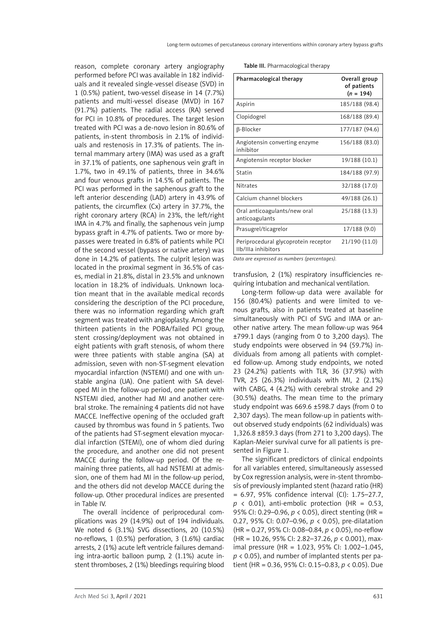reason, complete coronary artery angiography performed before PCI was available in 182 individuals and it revealed single-vessel disease (SVD) in 1 (0.5%) patient, two-vessel disease in 14 (7.7%) patients and multi-vessel disease (MVD) in 167 (91.7%) patients. The radial access (RA) served for PCI in 10.8% of procedures. The target lesion treated with PCI was a de-novo lesion in 80.6% of patients, in-stent thrombosis in 2.1% of individuals and restenosis in 17.3% of patients. The internal mammary artery (IMA) was used as a graft in 37.1% of patients, one saphenous vein graft in 1.7%, two in 49.1% of patients, three in 34.6% and four venous grafts in 14.5% of patients. The PCI was performed in the saphenous graft to the left anterior descending (LAD) artery in 43.9% of patients, the circumflex (Cx) artery in 37.7%, the right coronary artery (RCA) in 23%, the left/right IMA in 4.7% and finally, the saphenous vein jump bypass graft in 4.7% of patients. Two or more bypasses were treated in 6.8% of patients while PCI of the second vessel (bypass or native artery) was done in 14.2% of patients. The culprit lesion was located in the proximal segment in 36.5% of cases, medial in 21.8%, distal in 23.5% and unknown location in 18.2% of individuals. Unknown location meant that in the available medical records considering the description of the PCI procedure, there was no information regarding which graft segment was treated with angioplasty. Among the thirteen patients in the POBA/failed PCI group, stent crossing/deployment was not obtained in eight patients with graft stenosis, of whom there were three patients with stable angina (SA) at admission, seven with non-ST-segment elevation myocardial infarction (NSTEMI) and one with unstable angina (UA). One patient with SA developed MI in the follow-up period, one patient with NSTEMI died, another had MI and another cerebral stroke. The remaining 4 patients did not have MACCE. Ineffective opening of the occluded graft caused by thrombus was found in 5 patients. Two of the patients had ST-segment elevation myocardial infarction (STEMI), one of whom died during the procedure, and another one did not present MACCE during the follow-up period. Of the remaining three patients, all had NSTEMI at admission, one of them had MI in the follow-up period, and the others did not develop MACCE during the follow-up. Other procedural indices are presented in Table IV.

The overall incidence of periprocedural complications was 29 (14.9%) out of 194 individuals. We noted 6 (3.1%) SVG dissections, 20 (10.5%) no-reflows, 1 (0.5%) perforation, 3 (1.6%) cardiac arrests, 2 (1%) acute left ventricle failures demanding intra-aortic balloon pump, 2 (1.1%) acute instent thromboses, 2 (1%) bleedings requiring blood

|  | Table III. Pharmacological therapy |
|--|------------------------------------|
|--|------------------------------------|

| Pharmacological therapy                                     | Overall group<br>of patients<br>$(n = 194)$ |
|-------------------------------------------------------------|---------------------------------------------|
| Aspirin                                                     | 185/188 (98.4)                              |
| Clopidogrel                                                 | 168/188 (89.4)                              |
| β-Blocker                                                   | 177/187 (94.6)                              |
| Angiotensin converting enzyme<br>inhibitor                  | 156/188 (83.0)                              |
| Angiotensin receptor blocker                                | 19/188 (10.1)                               |
| Statin                                                      | 184/188 (97.9)                              |
| Nitrates                                                    | 32/188 (17.0)                               |
| Calcium channel blockers                                    | 49/188 (26.1)                               |
| Oral anticoagulants/new oral<br>anticoagulants              | 25/188 (13.3)                               |
| Prasugrel/ticagrelor                                        | 17/188 (9.0)                                |
| Periprocedural glycoprotein receptor<br>IIb/IIIa inhibitors | 21/190 (11.0)                               |

*Data are expressed as numbers (percentages).*

transfusion, 2 (1%) respiratory insufficiencies requiring intubation and mechanical ventilation.

Long-term follow-up data were available for 156 (80.4%) patients and were limited to venous grafts, also in patients treated at baseline simultaneously with PCI of SVG and IMA or another native artery. The mean follow-up was 964 ±799.1 days (ranging from 0 to 3,200 days). The study endpoints were observed in 94 (59.7%) individuals from among all patients with completed follow-up. Among study endpoints, we noted 23 (24.2%) patients with TLR, 36 (37.9%) with TVR, 25 (26.3%) individuals with MI, 2 (2.1%) with CABG, 4 (4.2%) with cerebral stroke and 29 (30.5%) deaths. The mean time to the primary study endpoint was 669.6 ±598.7 days (from 0 to 2,307 days). The mean follow-up in patients without observed study endpoints (62 individuals) was 1,326.8 ±859.3 days (from 271 to 3,200 days). The Kaplan-Meier survival curve for all patients is presented in Figure 1.

The significant predictors of clinical endpoints for all variables entered, simultaneously assessed by Cox regression analysis, were in-stent thrombosis of previously implanted stent (hazard ratio (HR) = 6.97, 95% confidence interval (CI): 1.75–27.7,  $p \le 0.01$ ), anti-embolic protection (HR = 0.53, 95% CI: 0.29–0.96, *p* < 0.05), direct stenting (HR = 0.27, 95% CI: 0.07–0.96, *p* < 0.05), pre-dilatation (HR = 0.27, 95% CI: 0.08–0.84, *p* < 0.05), no-reflow (HR = 10.26, 95% CI: 2.82–37.26, *p* < 0.001), maximal pressure (HR = 1.023, 95% CI: 1.002–1.045, *p* < 0.05), and number of implanted stents per patient (HR = 0.36, 95% CI: 0.15–0.83, *p* < 0.05). Due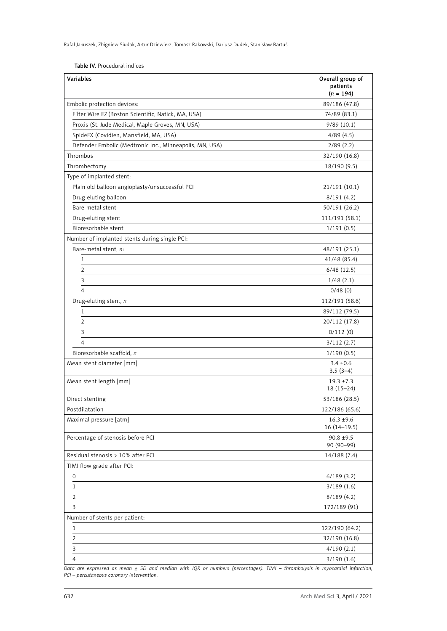Table IV. Procedural indices

| <b>Variables</b>                                        | Overall group of<br>patients<br>$(n = 194)$ |  |  |
|---------------------------------------------------------|---------------------------------------------|--|--|
| Embolic protection devices:                             | 89/186 (47.8)                               |  |  |
| Filter Wire EZ (Boston Scientific, Natick, MA, USA)     | 74/89 (83.1)                                |  |  |
| Proxis (St. Jude Medical, Maple Groves, MN, USA)        | 9/89(10.1)                                  |  |  |
| SpideFX (Covidien, Mansfield, MA, USA)                  | 4/89(4.5)                                   |  |  |
| Defender Embolic (Medtronic Inc., Minneapolis, MN, USA) | 2/89(2.2)                                   |  |  |
| Thrombus                                                | 32/190 (16.8)                               |  |  |
| Thrombectomy                                            | 18/190 (9.5)                                |  |  |
| Type of implanted stent:                                |                                             |  |  |
| Plain old balloon angioplasty/unsuccessful PCI          | 21/191 (10.1)                               |  |  |
| Drug-eluting balloon                                    | 8/191(4.2)                                  |  |  |
| Bare-metal stent                                        | 50/191 (26.2)                               |  |  |
| Drug-eluting stent                                      | 111/191 (58.1)                              |  |  |
| Bioresorbable stent                                     | 1/191(0.5)                                  |  |  |
| Number of implanted stents during single PCI:           |                                             |  |  |
| Bare-metal stent, n:                                    | 48/191 (25.1)                               |  |  |
| $\mathbf{1}$                                            | 41/48 (85.4)                                |  |  |
| 2                                                       | 6/48(12.5)                                  |  |  |
| 3                                                       | 1/48(2.1)                                   |  |  |
| 4                                                       | 0/48(0)                                     |  |  |
| Drug-eluting stent, n                                   | 112/191 (58.6)                              |  |  |
| 1                                                       | 89/112 (79.5)                               |  |  |
| 2                                                       | 20/112 (17.8)                               |  |  |
| 3                                                       | 0/112(0)                                    |  |  |
| 4                                                       | 3/112(2.7)                                  |  |  |
| Bioresorbable scaffold, n                               | 1/190(0.5)                                  |  |  |
| Mean stent diameter [mm]                                | $3.4 \pm 0.6$<br>$3.5(3-4)$                 |  |  |
| Mean stent length [mm]                                  | $19.3 + 7.3$<br>$18(15-24)$                 |  |  |
| Direct stenting                                         | 53/186 (28.5)                               |  |  |
| Postdilatation                                          | 122/186 (65.6)                              |  |  |
| Maximal pressure [atm]                                  | $16.3 + 9.6$<br>$16(14-19.5)$               |  |  |
| Percentage of stenosis before PCI                       | $90.8 + 9.5$<br>90 (90-99)                  |  |  |
| Residual stenosis > 10% after PCI                       | 14/188 (7.4)                                |  |  |
| TIMI flow grade after PCI:                              |                                             |  |  |
| $\mathsf{O}$                                            | 6/189(3.2)                                  |  |  |
| $\mathbf{1}$                                            | 3/189(1.6)                                  |  |  |
| 2                                                       | 8/189(4.2)                                  |  |  |
| 3                                                       | 172/189 (91)                                |  |  |
| Number of stents per patient:                           |                                             |  |  |
| $\mathbf{1}$                                            | 122/190 (64.2)                              |  |  |
| $\overline{2}$                                          | 32/190 (16.8)                               |  |  |
| 3                                                       | 4/190(2.1)                                  |  |  |
| $\overline{4}$                                          | 3/190(1.6)                                  |  |  |

*Data are expressed as mean ± SD and median with IQR or numbers (percentages). TIMI – thrombolysis in myocardial infarction, PCI – percutaneous coronary intervention.*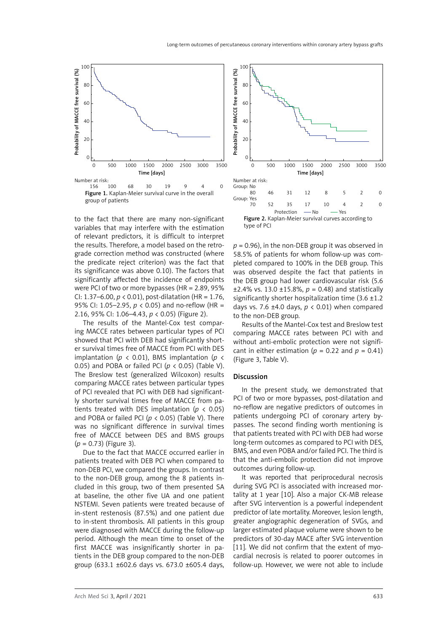

to the fact that there are many non-significant variables that may interfere with the estimation of relevant predictors, it is difficult to interpret the results. Therefore, a model based on the retrograde correction method was constructed (where the predicate reject criterion) was the fact that its significance was above 0.10). The factors that significantly affected the incidence of endpoints were PCI of two or more bypasses (HR = 2.89, 95% CI: 1.37–6.00, *p* < 0.01), post-dilatation (HR = 1.76, 95% CI: 1.05–2.95, *p* < 0.05) and no-reflow (HR = 2.16, 95% CI: 1.06–4.43, *p* < 0.05) (Figure 2).

The results of the Mantel-Cox test comparing MACCE rates between particular types of PCI showed that PCI with DEB had significantly shorter survival times free of MACCE from PCI with DES implantation (*p* < 0.01), BMS implantation (*p* < 0.05) and POBA or failed PCI (*p* < 0.05) (Table V). The Breslow test (generalized Wilcoxon) results comparing MACCE rates between particular types of PCI revealed that PCI with DEB had significantly shorter survival times free of MACCE from patients treated with DES implantation ( $p < 0.05$ ) and POBA or failed PCI ( $p < 0.05$ ) (Table V). There was no significant difference in survival times free of MACCE between DES and BMS groups (*p* = 0.73) (Figure 3).

Due to the fact that MACCE occurred earlier in patients treated with DEB PCI when compared to non-DEB PCI, we compared the groups. In contrast to the non-DEB group, among the 8 patients included in this group, two of them presented SA at baseline, the other five UA and one patient NSTEMI. Seven patients were treated because of in-stent restenosis (87.5%) and one patient due to in-stent thrombosis. All patients in this group were diagnosed with MACCE during the follow-up period. Although the mean time to onset of the first MACCE was insignificantly shorter in patients in the DEB group compared to the non-DEB group (633.1 ±602.6 days vs. 673.0 ±605.4 days,



 $p = 0.96$ ), in the non-DEB group it was observed in 58.5% of patients for whom follow-up was completed compared to 100% in the DEB group. This was observed despite the fact that patients in the DEB group had lower cardiovascular risk (5.6 ±2.4% vs. 13.0 ±15.8%, *p* = 0.48) and statistically significantly shorter hospitalization time  $(3.6 \pm 1.2)$ days vs. 7.6 ±4.0 days, *p* < 0.01) when compared to the non-DEB group.

Results of the Mantel-Cox test and Breslow test comparing MACCE rates between PCI with and without anti-embolic protection were not significant in either estimation ( $p = 0.22$  and  $p = 0.41$ ) (Figure 3, Table V).

#### Discussion

In the present study, we demonstrated that PCI of two or more bypasses, post-dilatation and no-reflow are negative predictors of outcomes in patients undergoing PCI of coronary artery bypasses. The second finding worth mentioning is that patients treated with PCI with DEB had worse long-term outcomes as compared to PCI with DES, BMS, and even POBA and/or failed PCI. The third is that the anti-embolic protection did not improve outcomes during follow-up.

It was reported that periprocedural necrosis during SVG PCI is associated with increased mortality at 1 year [10]. Also a major CK-MB release after SVG intervention is a powerful independent predictor of late mortality. Moreover, lesion length, greater angiographic degeneration of SVGs, and larger estimated plaque volume were shown to be predictors of 30-day MACE after SVG intervention [11]. We did not confirm that the extent of myocardial necrosis is related to poorer outcomes in follow-up. However, we were not able to include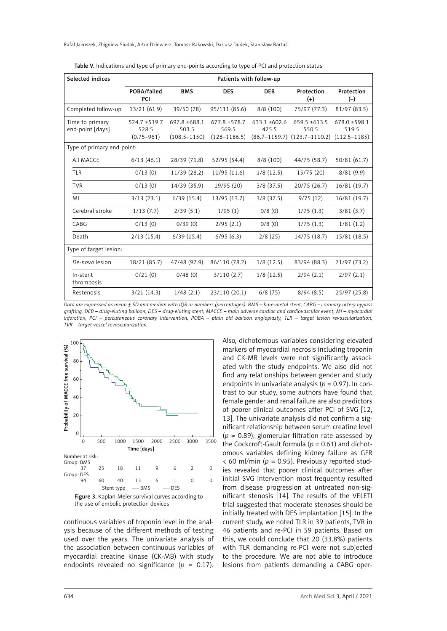Rafał Januszek, Zbigniew Siudak, Artur Dziewierz, Tomasz Rakowski, Dariusz Dudek, Stanisław Bartuś

| Selected indices                    | Patients with follow-up                 |                                            |                                           |                       |                                                            |                                           |
|-------------------------------------|-----------------------------------------|--------------------------------------------|-------------------------------------------|-----------------------|------------------------------------------------------------|-------------------------------------------|
|                                     | POBA/failed<br>PCI                      | <b>BMS</b>                                 | <b>DES</b>                                | <b>DEB</b>            | Protection<br>$(+)$                                        | Protection<br>$(-)$                       |
| Completed follow-up                 | 13/21 (61.9)                            | 39/50 (78)                                 | 95/111 (85.6)                             | 8/8(100)              | 75/97 (77.3)                                               | 81/97 (83.5)                              |
| Time to primary<br>end-point [days] | 524.7 ±519.7<br>528.5<br>$(0.75 - 961)$ | 697.8 ± 688.1<br>503.5<br>$(108.5 - 1150)$ | 677.8 ±578.7<br>569.5<br>$(128 - 1186.5)$ | 633.1 ±602.6<br>425.5 | 659.5 ± 613.5<br>550.5<br>$(86.7-1159.7)$ $(123.7-1110.2)$ | 678.0 ±598.1<br>519.5<br>$(112.5 - 1185)$ |
|                                     | Type of primary end-point:              |                                            |                                           |                       |                                                            |                                           |
| All MACCE                           | 6/13(46.1)                              | 28/39 (71.8)                               | 52/95 (54.4)                              | 8/8(100)              | 44/75 (58.7)                                               | 50/81 (61.7)                              |
| <b>TLR</b>                          | 0/13(0)                                 | 11/39 (28.2)                               | 11/95 (11.6)                              | 1/8(12.5)             | 15/75 (20)                                                 | 8/81(9.9)                                 |
| <b>TVR</b>                          | 0/13(0)                                 | 14/39 (35.9)                               | 19/95 (20)                                | $3/8$ (37.5)          | 20/75 (26.7)                                               | 16/81 (19.7)                              |
| MI                                  | 3/13(23.1)                              | 6/39(15.4)                                 | 13/95 (13.7)                              | $3/8$ (37.5)          | 9/75(12)                                                   | 16/81 (19.7)                              |
| Cerebral stroke                     | 1/13(7.7)                               | 2/39(5.1)                                  | 1/95(1)                                   | 0/8(0)                | 1/75(1.3)                                                  | 3/81(3.7)                                 |
| CABG                                | 0/13(0)                                 | 0/39(0)                                    | 2/95(2.1)                                 | 0/8(0)                | 1/75(1.3)                                                  | 1/81(1.2)                                 |
| Death                               | 2/13(15.4)                              | 6/39(15.4)                                 | 6/95(6.3)                                 | 2/8(25)               | 14/75 (18.7)                                               | 15/81 (18.5)                              |
| Type of target lesion:              |                                         |                                            |                                           |                       |                                                            |                                           |
| De-novo lesion                      | 18/21 (85.7)                            | 47/48 (97.9)                               | 86/110 (78.2)                             | 1/8(12.5)             | 83/94 (88.3)                                               | 71/97 (73.2)                              |
| In-stent<br>thrombosis              | 0/21(0)                                 | 0/48(0)                                    | 3/110(2.7)                                | 1/8(12.5)             | 2/94(2.1)                                                  | 2/97(2.1)                                 |
| Restenosis                          | 3/21(14.3)                              | 1/48(2.1)                                  | 23/110 (20.1)                             | 6/8(75)               | 8/94(8.5)                                                  | 25/97 (25.8)                              |

Table V. Indications and type of primary end-points according to type of PCI and protection status

*Data are expressed as mean ± SD and median with IQR or numbers (percentages). BMS – bare-metal stent, CABG – coronary artery bypass grafting, DEB – drug-eluting balloon, DES – drug-eluting stent, MACCE – main adverse cardiac and cardiovascular event, MI – myocardial infarction, PCI – percutaneous coronary intervention, POBA – plain old balloon angioplasty, TLR – target lesion revascularization, TVR – target vessel revascularization.* 



continuous variables of troponin level in the analysis because of the different methods of testing used over the years. The univariate analysis of the association between continuous variables of myocardial creatine kinase (CK-MB) with study endpoints revealed no significance  $(p = 0.17)$ . Also, dichotomous variables considering elevated markers of myocardial necrosis including troponin and CK-MB levels were not significantly associated with the study endpoints. We also did not find any relationships between gender and study endpoints in univariate analysis (*p* = 0.97). In contrast to our study, some authors have found that female gender and renal failure are also predictors of poorer clinical outcomes after PCI of SVG [12, 13]. The univariate analysis did not confirm a significant relationship between serum creatine level (*p* = 0.89), glomerular filtration rate assessed by the Cockcroft-Gault formula ( $p = 0.61$ ) and dichotomous variables defining kidney failure as GFR  $<$  60 ml/min ( $p = 0.95$ ). Previously reported studies revealed that poorer clinical outcomes after initial SVG intervention most frequently resulted from disease progression at untreated non-significant stenosis [14]. The results of the VELETI trial suggested that moderate stenoses should be initially treated with DES implantation [15]. In the current study, we noted TLR in 39 patients, TVR in 46 patients and re-PCI in 59 patients. Based on this, we could conclude that 20 (33.8%) patients with TLR demanding re-PCI were not subjected to the procedure. We are not able to introduce lesions from patients demanding a CABG oper-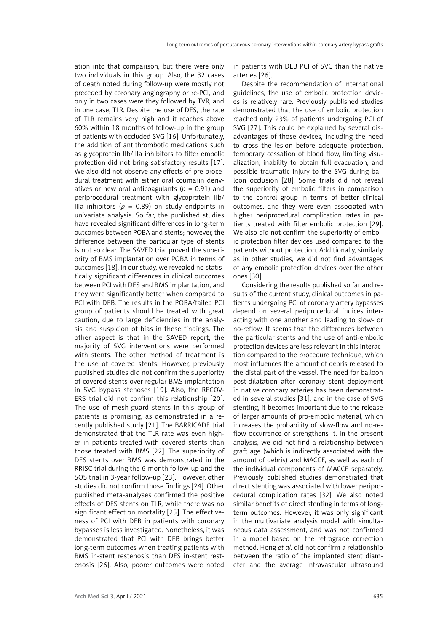ation into that comparison, but there were only two individuals in this group. Also, the 32 cases of death noted during follow-up were mostly not preceded by coronary angiography or re-PCI, and only in two cases were they followed by TVR, and in one case, TLR. Despite the use of DES, the rate of TLR remains very high and it reaches above 60% within 18 months of follow-up in the group of patients with occluded SVG [16]. Unfortunately, the addition of antithrombotic medications such as glycoprotein IIb/IIIa inhibitors to filter embolic protection did not bring satisfactory results [17]. We also did not observe any effects of pre-procedural treatment with either oral coumarin derivatives or new oral anticoagulants ( $p = 0.91$ ) and periprocedural treatment with glycoprotein IIb/ IIIa inhibitors ( $p = 0.89$ ) on study endpoints in univariate analysis. So far, the published studies have revealed significant differences in long-term outcomes between POBA and stents; however, the difference between the particular type of stents is not so clear. The SAVED trial proved the superiority of BMS implantation over POBA in terms of outcomes [18]. In our study, we revealed no statistically significant differences in clinical outcomes between PCI with DES and BMS implantation, and they were significantly better when compared to PCI with DEB. The results in the POBA/failed PCI group of patients should be treated with great caution, due to large deficiencies in the analysis and suspicion of bias in these findings. The other aspect is that in the SAVED report, the majority of SVG interventions were performed with stents. The other method of treatment is the use of covered stents. However, previously published studies did not confirm the superiority of covered stents over regular BMS implantation in SVG bypass stenoses [19]. Also, the RECOV-ERS trial did not confirm this relationship [20]. The use of mesh-guard stents in this group of patients is promising, as demonstrated in a recently published study [21]. The BARRICADE trial demonstrated that the TLR rate was even higher in patients treated with covered stents than those treated with BMS [22]. The superiority of DES stents over BMS was demonstrated in the RRISC trial during the 6-month follow-up and the SOS trial in 3-year follow-up [23]. However, other studies did not confirm those findings [24]. Other published meta-analyses confirmed the positive effects of DES stents on TLR, while there was no significant effect on mortality [25]. The effectiveness of PCI with DEB in patients with coronary bypasses is less investigated. Nonetheless, it was demonstrated that PCI with DEB brings better long-term outcomes when treating patients with BMS in-stent restenosis than DES in-stent restenosis [26]. Also, poorer outcomes were noted in patients with DEB PCI of SVG than the native arteries [26].

Despite the recommendation of international guidelines, the use of embolic protection devices is relatively rare. Previously published studies demonstrated that the use of embolic protection reached only 23% of patients undergoing PCI of SVG [27]. This could be explained by several disadvantages of those devices, including the need to cross the lesion before adequate protection, temporary cessation of blood flow, limiting visualization, inability to obtain full evacuation, and possible traumatic injury to the SVG during balloon occlusion [28]. Some trials did not reveal the superiority of embolic filters in comparison to the control group in terms of better clinical outcomes, and they were even associated with higher periprocedural complication rates in patients treated with filter embolic protection [29]. We also did not confirm the superiority of embolic protection filter devices used compared to the patients without protection. Additionally, similarly as in other studies, we did not find advantages of any embolic protection devices over the other ones [30].

Considering the results published so far and results of the current study, clinical outcomes in patients undergoing PCI of coronary artery bypasses depend on several periprocedural indices interacting with one another and leading to slow- or no-reflow. It seems that the differences between the particular stents and the use of anti-embolic protection devices are less relevant in this interaction compared to the procedure technique, which most influences the amount of debris released to the distal part of the vessel. The need for balloon post-dilatation after coronary stent deployment in native coronary arteries has been demonstrated in several studies [31], and in the case of SVG stenting, it becomes important due to the release of larger amounts of pro-embolic material, which increases the probability of slow-flow and no-reflow occurrence or strengthens it. In the present analysis, we did not find a relationship between graft age (which is indirectly associated with the amount of debris) and MACCE, as well as each of the individual components of MACCE separately. Previously published studies demonstrated that direct stenting was associated with lower periprocedural complication rates [32]. We also noted similar benefits of direct stenting in terms of longterm outcomes. However, it was only significant in the multivariate analysis model with simultaneous data assessment, and was not confirmed in a model based on the retrograde correction method. Hong *et al.* did not confirm a relationship between the ratio of the implanted stent diameter and the average intravascular ultrasound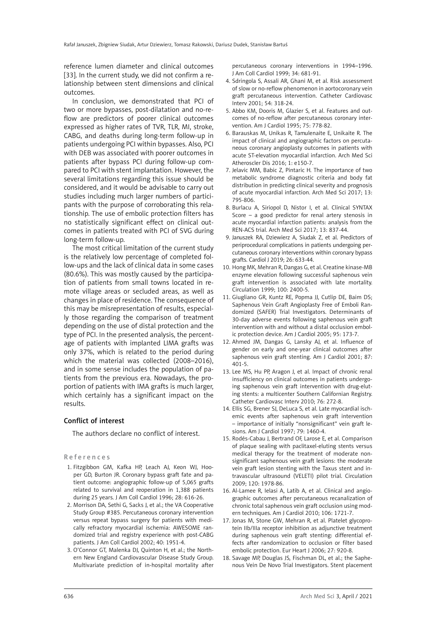reference lumen diameter and clinical outcomes [33]. In the current study, we did not confirm a relationship between stent dimensions and clinical outcomes.

In conclusion, we demonstrated that PCI of two or more bypasses, post-dilatation and no-reflow are predictors of poorer clinical outcomes expressed as higher rates of TVR, TLR, MI, stroke, CABG, and deaths during long-term follow-up in patients undergoing PCI within bypasses. Also, PCI with DEB was associated with poorer outcomes in patients after bypass PCI during follow-up compared to PCI with stent implantation. However, the several limitations regarding this issue should be considered, and it would be advisable to carry out studies including much larger numbers of participants with the purpose of corroborating this relationship. The use of embolic protection filters has no statistically significant effect on clinical outcomes in patients treated with PCI of SVG during long-term follow-up.

The most critical limitation of the current study is the relatively low percentage of completed follow-ups and the lack of clinical data in some cases (80.6%). This was mostly caused by the participation of patients from small towns located in remote village areas or secluded areas, as well as changes in place of residence. The consequence of this may be misrepresentation of results, especially those regarding the comparison of treatment depending on the use of distal protection and the type of PCI. In the presented analysis, the percentage of patients with implanted LIMA grafts was only 37%, which is related to the period during which the material was collected (2008–2016), and in some sense includes the population of patients from the previous era. Nowadays, the proportion of patients with IMA grafts is much larger, which certainly has a significant impact on the results.

# Conflict of interest

The authors declare no conflict of interest.

# References

- 1. Fitzgibbon GM, Kafka HP, Leach AJ, [Keon WJ,](https://www.ncbi.nlm.nih.gov/pubmed/?term=Keon WJ%5BAuthor%5D&cauthor=true&cauthor_uid=8772748) [Hoo](https://www.ncbi.nlm.nih.gov/pubmed/?term=Hooper GD%5BAuthor%5D&cauthor=true&cauthor_uid=8772748)[per GD](https://www.ncbi.nlm.nih.gov/pubmed/?term=Hooper GD%5BAuthor%5D&cauthor=true&cauthor_uid=8772748), [Burton JR](https://www.ncbi.nlm.nih.gov/pubmed/?term=Burton JR%5BAuthor%5D&cauthor=true&cauthor_uid=8772748). Coronary bypass graft fate and patient outcome: angiographic follow-up of 5,065 grafts related to survival and reoperation in 1,388 patients during 25 years. J Am Coll Cardiol 1996; 28: 616-26.
- 2. Morrison DA, Sethi G, Sacks J, et al.; the VA Cooperative Study Group #385. Percutaneous coronary intervention versus repeat bypass surgery for patients with medically refractory myocardial ischemia: AWESOME randomized trial and registry experience with post-CABG patients. J Am Coll Cardiol 2002; 40: 1951-4.
- 3. O'Connor GT, Malenka DJ, Quinton H, et al.; the Northern New England Cardiovascular Disease Study Group. Multivariate prediction of in-hospital mortality after

percutaneous coronary interventions in 1994–1996. J Am Coll Cardiol 1999; 34: 681-91.

- 4. Sdringola S, Assali AR, Ghani M, et al. Risk assessment of slow or no-reflow phenomenon in aortocoronary vein graft percutaneous intervention. Catheter Cardiovasc Interv 2001; 54: 318-24.
- 5. Abbo KM, Dooris M, Glazier S, et al. Features and outcomes of no-reflow after percutaneous coronary intervention. Am J Cardiol 1995; 75: 778-82.
- 6. [Barauskas M,](https://www.ncbi.nlm.nih.gov/pubmed/?term=Barauskas M%5BAuthor%5D&cauthor=true&cauthor_uid=28905038) [Unikas R,](https://www.ncbi.nlm.nih.gov/pubmed/?term=Unikas R%5BAuthor%5D&cauthor=true&cauthor_uid=28905038) [Tamulenaite E,](https://www.ncbi.nlm.nih.gov/pubmed/?term=Tamulenaite E%5BAuthor%5D&cauthor=true&cauthor_uid=28905038) [Unikaite R](https://www.ncbi.nlm.nih.gov/pubmed/?term=Unikaite R%5BAuthor%5D&cauthor=true&cauthor_uid=28905038). The impact of clinical and angiographic factors on percutaneous coronary angioplasty outcomes in patients with acute ST-elevation myocardial infarction. [Arch Med Sci](https://www.ncbi.nlm.nih.gov/pubmed/28905038) [Atheroscler Dis](https://www.ncbi.nlm.nih.gov/pubmed/28905038) 2016; 1: e150-7.
- 7. [Jelavic MM](https://www.ncbi.nlm.nih.gov/pubmed/?term=Jelavic MM%5BAuthor%5D&cauthor=true&cauthor_uid=28721147), [Babic Z,](https://www.ncbi.nlm.nih.gov/pubmed/?term=Babic Z%5BAuthor%5D&cauthor=true&cauthor_uid=28721147) [Pintaric H](https://www.ncbi.nlm.nih.gov/pubmed/?term=Pintaric H%5BAuthor%5D&cauthor=true&cauthor_uid=28721147). The importance of two metabolic syndrome diagnostic criteria and body fat distribution in predicting clinical severity and prognosis of acute myocardial infarction. [Arch Med Sci](https://www.ncbi.nlm.nih.gov/pubmed/?term=The+importance+of+two+metabolic+syndrome+diagnostic+criteria+and+body+fat+distribution+in+predicting+clinical+severity+and+prognosis+of+acute+myocardial+infarction) 2017; 13: 795-806.
- 8. [Burlacu A](https://www.ncbi.nlm.nih.gov/pubmed/?term=Burlacu A%5BAuthor%5D&cauthor=true&cauthor_uid=28721152), [Siriopol D](https://www.ncbi.nlm.nih.gov/pubmed/?term=Siriopol D%5BAuthor%5D&cauthor=true&cauthor_uid=28721152), [Nistor I](https://www.ncbi.nlm.nih.gov/pubmed/?term=Nistor I%5BAuthor%5D&cauthor=true&cauthor_uid=28721152), et al. Clinical SYNTAX Score – a good predictor for renal artery stenosis in acute myocardial infarction patients: analysis from the REN-ACS trial. [Arch Med Sci](https://www.ncbi.nlm.nih.gov/pubmed/?term=Clinical+SYNTAX+Score+%E2%80%93+a+good+predictor+for+renal+artery+stenosis+in+acute+myocardial+infarction+patients%3A+analysis+from+the+REN-ACS+trial) 2017; 13: 837-44.
- 9. Januszek RA, Dziewierz A, Siudak Z, et al. Predictors of periprocedural complications in patients undergoing percutaneous coronary interventions within coronary bypass grafts. Cardiol J 2019; 26: 633-44.
- 10. Hong MK, Mehran R, Dangas G, et al. Creatine kinase-MB enzyme elevation following successful saphenous vein graft intervention is associated with late mortality. Circulation 1999; 100: 2400-5.
- 11. [Giugliano GR,](https://www.ncbi.nlm.nih.gov/pubmed/?term=Giugliano GR%5BAuthor%5D&cauthor=true&cauthor_uid=15642547) [Kuntz RE,](https://www.ncbi.nlm.nih.gov/pubmed/?term=Kuntz RE%5BAuthor%5D&cauthor=true&cauthor_uid=15642547) [Popma JJ,](https://www.ncbi.nlm.nih.gov/pubmed/?term=Popma JJ%5BAuthor%5D&cauthor=true&cauthor_uid=15642547) [Cutlip DE,](https://www.ncbi.nlm.nih.gov/pubmed/?term=Cutlip DE%5BAuthor%5D&cauthor=true&cauthor_uid=15642547) [Baim DS;](https://www.ncbi.nlm.nih.gov/pubmed/?term=Baim DS%5BAuthor%5D&cauthor=true&cauthor_uid=15642547) [Saphenous Vein Graft Angioplasty Free of Emboli Ran](https://www.ncbi.nlm.nih.gov/pubmed/?term=Saphenous Vein Graft Angioplasty Free of Emboli Randomized (SAFER) Trial Investigators%5BCorporate Author%5D)[domized \(SAFER\) Trial Investigators](https://www.ncbi.nlm.nih.gov/pubmed/?term=Saphenous Vein Graft Angioplasty Free of Emboli Randomized (SAFER) Trial Investigators%5BCorporate Author%5D). Determinants of 30-day adverse events following saphenous vein graft intervention with and without a distal occlusion embolic protection device. Am J Cardiol 2005; 95: 173-7.
- 12. Ahmed JM, Dangas G, Lansky AJ, et al. Influence of gender on early and one-year clinical outcomes after saphenous vein graft stenting. Am J Cardiol 2001; 87: 401-5.
- 13. Lee MS, Hu PP, Aragon J, et al. Impact of chronic renal insufficiency on clinical outcomes in patients undergoing saphenous vein graft intervention with drug-eluting stents: a multicenter Southern Californian Registry. Catheter Cardiovasc Interv 2010; 76: 272-8.
- 14. Ellis SG, Brener SJ, DeLuca S, et al. Late myocardial ischemic events after saphenous vein graft intervention – importance of initially "nonsignificant" vein graft lesions. Am J Cardiol 1997; 79: 1460-4.
- 15. Rodés-Cabau J, Bertrand OF, Larose E, et al. Comparison of plaque sealing with paclitaxel-eluting stents versus medical therapy for the treatment of moderate nonsignificant saphenous vein graft lesions: the moderate vein graft lesion stenting with the Taxus stent and intravascular ultrasound (VELETI) pilot trial. Circulation 2009; 120: 1978-86.
- 16. [Al-Lamee R,](https://www.ncbi.nlm.nih.gov/pubmed/?term=Al-Lamee R%5BAuthor%5D&cauthor=true&cauthor_uid=21126616) [Ielasi A](https://www.ncbi.nlm.nih.gov/pubmed/?term=Ielasi A%5BAuthor%5D&cauthor=true&cauthor_uid=21126616), [Latib A,](https://www.ncbi.nlm.nih.gov/pubmed/?term=Latib A%5BAuthor%5D&cauthor=true&cauthor_uid=21126616) et al. Clinical and angiographic outcomes after percutaneous recanalization of chronic total saphenous vein graft occlusion using modern techniques. [Am J Cardiol](https://www.ncbi.nlm.nih.gov/pubmed/21126616?dopt=Abstract) 2010; 106: 1721-7.
- 17. Jonas M, Stone GW, Mehran R, et al. Platelet glycoprotein IIb/IIIa receptor inhibition as adjunctive treatment during saphenous vein graft stenting: differential effects after randomization to occlusion or filter based embolic protection. Eur Heart J 2006; 27: 920-8.
- 18. Savage MP, Douglas JS, Fischman DL, et al.; the Saphenous Vein De Novo Trial Investigators. Stent placement